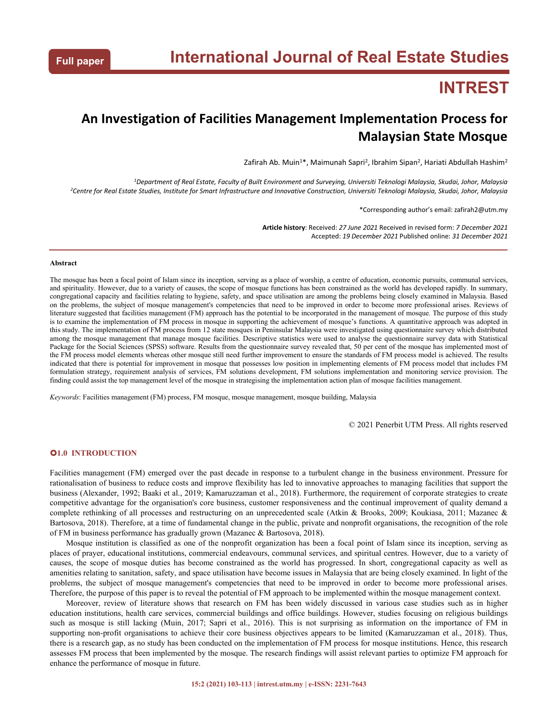# **INTREST**

## **An Investigation of Facilities Management Implementation Process for Malaysian State Mosque**

Zafirah Ab. Muin<sup>1\*</sup>, Maimunah Sapri<sup>2</sup>, Ibrahim Sipan<sup>2</sup>, Hariati Abdullah Hashim<sup>2</sup>

<sup>1</sup>Department of Real Estate, Faculty of Built Environment and Surveying, Universiti Teknologi Malaysia, Skudai, Johor, Malaysia <sup>2</sup>Centre for Real Estate Studies, Institute for Smart Infrastructure and Innovative Construction, Universiti Teknologi Malaysia, Skudai, Johor, Malaysia

\*Corresponding author's email: zafirah2@utm.my

**Article history**: Received: *27 June 2021* Received in revised form: *7 December 2021* Accepted: *19 December 2021* Published online: *31 December 2021*

#### **Abstract**

The mosque has been a focal point of Islam since its inception, serving as a place of worship, a centre of education, economic pursuits,communal services, and spirituality.However, due to a variety of causes, the scope of mosque functions has been constrained as the world has developed rapidly. In summary, congregational capacity and facilities relating to hygiene, safety, and space utilisation are among the problems being closely examined in Malaysia. Based on the problems, the subject of mosque management's competencies that need to be improved in order to become more professional arises. Reviews of literature suggested that facilities management (FM) approach has the potential to be incorporated in the management of mosque. The purpose of this study is to examine the implementation of FM process in mosque in supporting the achievement of mosque's functions. A quantitative approach was adopted in this study.The implementation of FM process from 12 state mosques in Peninsular Malaysia were investigated using questionnaire survey which distributed among the mosque management that manage mosque facilities. Descriptive statistics were used to analyse the questionnaire survey data with Statistical Package for the Social Sciences (SPSS) software. Results from the questionnaire survey revealed that, 50 per cent of the mosque has implemented most of the FM process model elements whereas other mosque still need further improvement to ensure the standards of FM process model is achieved. The results indicated that there is potential for improvement in mosque that possesses low position in implementing elements of FM process model that includes FM formulation strategy, requirement analysis of services, FM solutions development, FM solutions implementation and monitoring service provision. The finding could assist the top management level of the mosque in strategising the implementation action plan of mosque facilities management.

*Keywords*: Facilities management (FM) process, FM mosque, mosque management, mosque building, Malaysia

© 2021 Penerbit UTM Press. All rights reserved

## **1.0 INTRODUCTION**

Facilities management (FM) emerged over the past decade in response to a turbulent change in the business environment. Pressure for rationalisation of business to reduce costs and improve flexibility has led to innovative approaches to managing facilities that support the business (Alexander, 1992; Baaki et al., 2019; Kamaruzzaman et al., 2018). Furthermore, the requirement of corporate strategies to create competitive advantage for the organisation's core business, customer responsiveness and the continual improvement of quality demand a complete rethinking of all processes and restructuring on an unprecedented scale (Atkin & Brooks, 2009; Koukiasa, 2011; Mazanec & Bartosova, 2018). Therefore, at a time of fundamental change in the public, private and nonprofit organisations, the recognition of the role of FM in business performance has gradually grown (Mazanec & Bartosova, 2018).

Mosque institution is classified as one of the nonprofit organization has been a focal point of Islam since its inception, serving as places ofprayer, educational institutions, commercial endeavours, communal services, and spiritual centres. However, due to a variety of causes, the scope of mosque duties has become constrained as the world has progressed. In short, congregational capacity as wellas amenities relating to sanitation, safety, and space utilisation have become issues in Malaysia that are being closely examined. In light ofthe problems, the subject of mosque management's competencies that need to be improved in order to become more professional arises. Therefore, the purpose of this paper is to reveal the potential of FM approach to be implemented within the mosque management context.

Moreover, review of literature shows that research on FM has been widely discussed in various case studies such as in higher education institutions, health care services, commercial buildings and office buildings. However, studies focusing on religious buildings such as mosque is stilllacking (Muin, 2017; Sapri et al., 2016). This is not surprising as information on the importance of FM in supporting non-profit organisations to achieve their core business objectives appears to be limited (Kamaruzzaman et al., 2018). Thus, there is a research gap, as no study has been conducted on the implementation of FM process for mosque institutions. Hence, this research assesses FM process that been implemented by the mosque. The research findings will assist relevant parties to optimize FM approach for enhance the performance of mosque in future.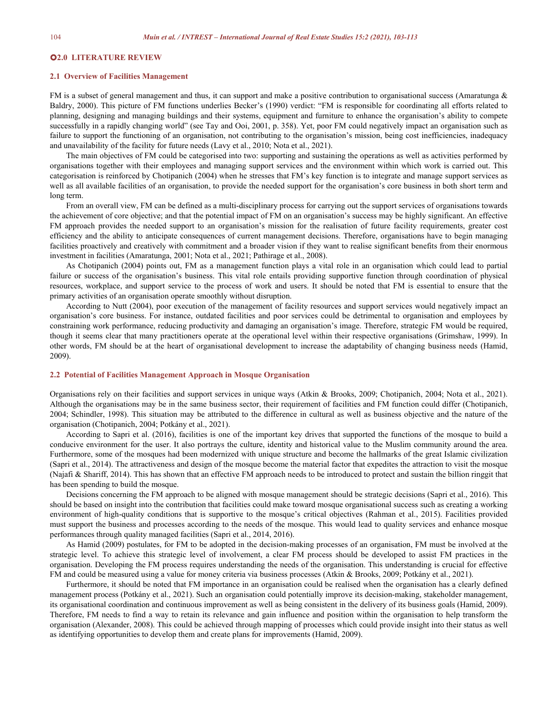## **2.0 LITERATURE REVIEW**

## **2.1 Overview of Facilities Management**

FM is a subset of general management and thus, it can support and make a positive contribution to organisational success (Amaratunga & Baldry, 2000). This picture of FM functions underlies Becker's (1990) verdict: "FM is responsible for coordinating all efforts related to planning, designing and managing buildings and their systems, equipment and furniture to enhance the organisation's ability to compete successfully in a rapidly changing world" (see Tay and Ooi, 2001, p. 358). Yet, poor FM could negatively impact an organisation such as failure to support the functioning of an organisation, not contributing to the organisation's mission, being cost inefficiencies, inadequacy and unavailability of the facility for future needs (Lavy et al., 2010; Nota et al., 2021).

The main objectives of FM could be categorised into two: supporting and sustaining the operations as well as activities performed by organisations together with their employees and managing support services and the environment within which work is carried out. This categorisation is reinforced by Chotipanich (2004) when he stresses that FM's key function is to integrate and manage support services as well as all available facilities of an organisation, to provide the needed support for the organisation's core business in both short term and long term.

From an overall view, FM can be defined as a multi-disciplinary process for carrying out the support services of organisations towards the achievement of core objective; and that the potential impact of FM on an organisation's success may be highly significant. An effective FM approach provides the needed support to an organisation's mission for the realisation of future facility requirements, greater cost efficiency and the ability to anticipate consequences of current management decisions. Therefore, organisations have to begin managing facilities proactively and creatively with commitment and a broader vision if they want to realise significant benefits from their enormous investment in facilities (Amaratunga, 2001; Nota et al., 2021; Pathirage et al., 2008).

As Chotipanich (2004) points out, FM as a management function plays a vital role in an organisation which could lead to partial failure or success of the organisation's business. This vital role entails providing supportive function through coordination of physical resources, workplace, and support service to the process of work and users. It should be noted that FM is essential to ensure that the primary activities of an organisation operate smoothly without disruption.

According to Nutt (2004), poor execution of the management of facility resources and support services would negatively impact an organisation's core business. For instance, outdated facilities and poor services could be detrimental to organisation and employees by constraining work performance, reducing productivity and damaging an organisation's image. Therefore, strategic FM would be required, though it seems clear that many practitioners operate at the operational level within their respective organisations (Grimshaw, 1999). In other words, FM should be at the heart of organisational development to increase the adaptability of changing business needs (Hamid, 2009).

## **2.2 Potentialof Facilities Management Approach in Mosque Organisation**

Organisations rely on their facilities and support services in unique ways (Atkin & Brooks, 2009; Chotipanich, 2004; Nota et al., 2021). Although the organisations may be in the same business sector, their requirement of facilities and FM function could differ (Chotipanich, 2004; Schindler, 1998). This situation may be attributed to the difference in cultural as wellas business objective and the nature of the organisation (Chotipanich, 2004; Potkány et al., 2021).

According to Sapri et al. (2016), facilities is one of the important key drives that supported the functions of the mosque to build a conducive environment for the user. It also portrays the culture, identity and historical value to the Muslim community around the area. Furthermore, some of the mosques had been modernized with unique structure and become the hallmarks of the great Islamic civilization (Sapri et al., 2014). The attractiveness and design of the mosque become the material factor that expedites the attraction to visit the mosque (Najafi & Shariff, 2014). This has shown that an effective FM approach needs to be introduced to protect and sustain the billion ringgit that has been spending to build the mosque.

Decisions concerning the FM approach to be aligned with mosque management should be strategic decisions (Sapri et al., 2016). This should be based on insight into the contribution that facilities could make toward mosque organisational success such as creating a working environment of high-quality conditions that is supportive to the mosque's critical objectives (Rahman et al., 2015). Facilities provided must support the business and processes according to the needs of the mosque. This would lead to quality services and enhance mosque performances through quality managed facilities (Sapri et al., 2014, 2016).

As Hamid (2009) postulates, for FM to be adopted in the decision-making processes of an organisation, FM must be involved at the strategic level. To achieve this strategic level of involvement, a clear FM process should be developed to assist FM practices in the organisation. Developing the FM process requires understanding the needs of the organisation. This understanding is crucial for effective FM and could be measured using a value for money criteria via business processes (Atkin & Brooks, 2009; Potkány et al., 2021).

Furthermore, it should be noted that FM importance in an organisation could be realised when the organisation has a clearly defined management process (Potkány et al., 2021). Such an organisation could potentially improve its decision-making, stakeholder management, its organisational coordination and continuous improvement as well as being consistent in the delivery of its business goals (Hamid, 2009). Therefore, FM needs to find a way to retain its relevance and gain influence and position within the organisation to help transform the organisation (Alexander, 2008). This could be achieved through mapping of processes which could provide insight into their status as well as identifying opportunities to develop them and create plans for improvements (Hamid, 2009).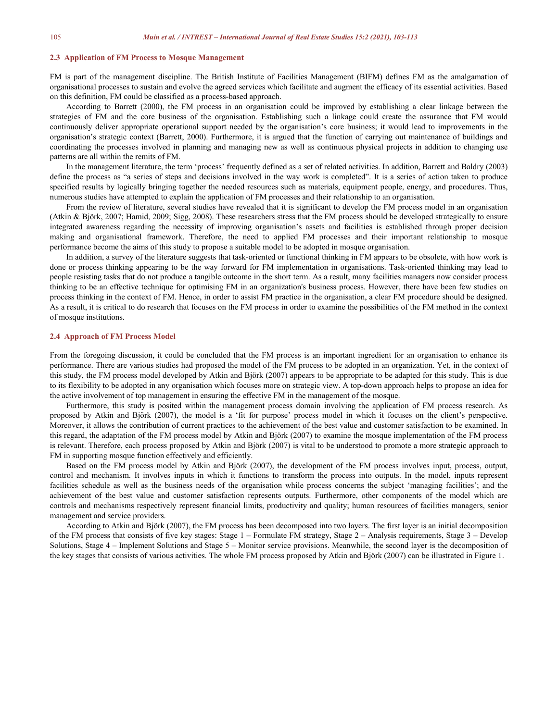## **2.3 Application of FM Process to Mosque Management**

FM is part of the management discipline. The British Institute of Facilities Management (BIFM) defines FM as the amalgamation of organisational processes to sustain and evolve the agreed services which facilitate and augment the efficacy of its essential activities. Based on this definition, FM could be classified as a process-based approach.

According to Barrett (2000), the FM process in an organisation could be improved by establishing a clear linkage between the strategies of FM and the core business of the organisation. Establishing such a linkage could create the assurance that FM would continuously deliver appropriate operational support needed by the organisation's core business; it would lead to improvements in the organisation's strategic context (Barrett, 2000). Furthermore, it is argued that the function of carrying out maintenance of buildings and coordinating the processes involved in planning and managing new as wellas continuous physical projects in addition to changing use patterns are all within the remits of FM.

In the management literature, the term 'process' frequently defined as a set of related activities. In addition, Barrett and Baldry (2003) define the process as "a series of steps and decisions involved in the way work is completed". It is a series of action taken to produce specified results by logically bringing together the needed resources such as materials, equipment people, energy, and procedures. Thus, numerous studies have attempted to explain the application of FM processes and their relationship to an organisation.

From the review of literature, several studies have revealed that it is significant to develop the FM process model in an organisation (Atkin & Björk, 2007; Hamid, 2009; Sigg, 2008). These researchers stress that the FM process should be developed strategically to ensure integrated awareness regarding the necessity of improving organisation's assets and facilities is established through proper decision making and organisational framework. Therefore, the need to applied FM processes and their important relationship to mosque performance become the aims of this study to propose a suitable model to be adopted in mosque organisation.

In addition, a survey of the literature suggests that task-oriented or functional thinking in FM appears to be obsolete, with how work is done or process thinking appearing to be the way forward for FM implementation in organisations. Task-oriented thinking may lead to people resisting tasks that do not produce a tangible outcome in the short term. As a result, many facilities managers now consider process thinking to be an effective technique for optimising FM in an organization's business process. However, there have been few studies on process thinking in the context of FM. Hence, in order to assist FM practice in the organisation, a clear FM procedure should be designed. As a result, it is critical to do research that focuses on the FM process in order to examine the possibilities of the FM method in the context of mosque institutions.

#### **2.4 Approach of FM Process Model**

From the foregoing discussion, it could be concluded that the FM process is an important ingredient for an organisation to enhance its performance. There are various studies had proposed the model of the FM process to be adopted in an organization. Yet, in the context of this study, the FM process model developed by Atkin and Björk (2007) appears to be appropriate to be adapted for this study.This is due to its flexibility to be adopted in any organisation which focuses more on strategic view. A top-down approach helps to propose an idea for the active involvement of top management in ensuring the effective FM in the management of the mosque.

Furthermore, this study is posited within the management process domain involving the application of FM process research. As proposed by Atkin and Björk (2007), the model is a 'fit for purpose' process model in which it focuses on the client's perspective. Moreover, it allows the contribution of current practices to the achievement of the best value and customer satisfaction to be examined. In this regard, the adaptation of the FM process model byAtkin and Björk (2007) to examine the mosque implementation of the FM process is relevant. Therefore, each process proposed by Atkin and Björk (2007) is vital to be understood to promote a more strategic approach to FM in supporting mosque function effectively and efficiently.

Based on the FM process model by Atkin and Björk (2007), the development of the FM process involves input, process, output, control and mechanism. It involves inputs in which it functions to transform the process into outputs. In the model, inputs represent facilities schedule as well as the business needs of the organisation while process concerns the subject 'managing facilities'; and the achievement of the best value and customer satisfaction represents outputs. Furthermore, other components of the model which are controls and mechanisms respectively represent financial limits, productivity and quality; human resources of facilities managers, senior management and service providers.

According to Atkin and Björk (2007), the FM process has been decomposed into two layers. The first layer is an initial decomposition of the FM process that consists of five key stages: Stage 1 – Formulate FM strategy, Stage 2 – Analysis requirements, Stage 3 – Develop Solutions, Stage 4 – Implement Solutions and Stage 5 – Monitor service provisions. Meanwhile, the second layer is the decomposition of the key stages that consists ofvarious activities. The whole FM process proposed by Atkin and Björk (2007) can be illustrated in Figure 1.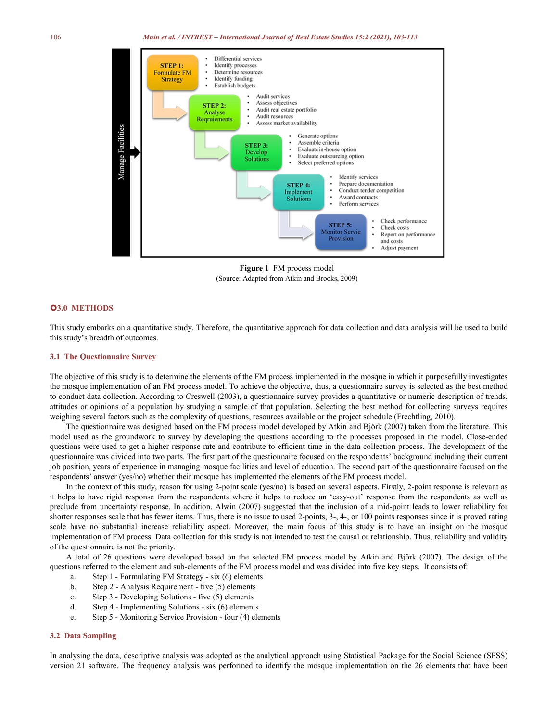

**Figure 1** FM process model (Source: Adapted from Atkin and Brooks, 2009)

## **3.0 METHODS**

This study embarks on a quantitative study. Therefore, the quantitative approach for data collection and data analysis will be used to build this study's breadth of outcomes.

## **3.1 The Questionnaire Survey**

The objective of this study is to determine the elements of the FM process implemented in the mosque in which it purposefully investigates the mosque implementation of an FM process model. To achieve the objective, thus, a questionnaire survey is selected as the best method to conduct data collection. According to Creswell (2003), a questionnaire survey provides a quantitative or numeric description of trends, attitudes or opinions of a population by studying a sample of that population. Selecting the best method for collecting surveys requires weighing several factors such as the complexity of questions, resources available or the project schedule (Frechtling, 2010).

The questionnaire was designed based on the FM process model developed by Atkin and Björk (2007) taken from the literature. This model used as the groundwork to survey by developing the questions according to the processes proposed in the model. Close-ended questions were used to get a higher response rate and contribute to efficient time in the data collection process. The development of the questionnaire was divided into two parts. The first part of the questionnaire focused on the respondents' background including their current job position, years of experience in managing mosque facilities and level of education. The second part of the questionnaire focused on the respondents' answer (yes/no) whether their mosque has implemented the elements ofthe FM process model.

In the context of this study, reason for using 2-point scale (yes/no) is based on several aspects. Firstly, 2-point response is relevant as it helps to have rigid response from the respondents where it helps to reduce an 'easy-out' response from the respondents as well as preclude from uncertainty response. In addition, Alwin (2007) suggested that the inclusion of a mid-point leads to lower reliability for shorter responses scale that has fewer items. Thus, there is no issue to used 2-points, 3-, 4-, or 100 points responses since it is proved rating scale have no substantial increase reliability aspect. Moreover, the main focus of this study is to have an insight on the mosque implementation of FM process. Data collection for this study is not intended to test the causal or relationship. Thus, reliability and validity of the questionnaire is not the priority.

A total of 26 questions were developed based on the selected FM process model by Atkin and Björk (2007). The design of the questions referred to the element and sub-elements of the FM process model and was divided into five key steps. It consists of:

- a. Step 1 Formulating FM Strategy six (6) elements
- b. Step 2 Analysis Requirement five (5) elements
- c. Step 3 Developing Solutions five (5) elements
- d. Step 4 Implementing Solutions six (6) elements
- e. Step 5 Monitoring Service Provision four (4) elements

## **3.2 Data Sampling**

In analysing the data, descriptive analysis was adopted as the analytical approach using Statistical Package for the Social Science (SPSS) version 21 software. The frequency analysis was performed to identify the mosque implementation on the 26 elements that have been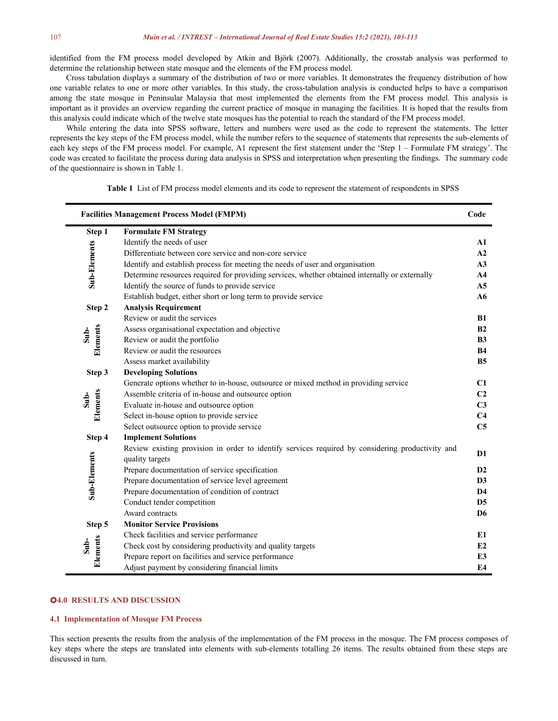identified from the FM process model developed by Atkin and Björk (2007). Additionally, the crosstab analysis was performed to determine the relationship between state mosque and the elements of the FM process model.

Cross tabulation displays a summary of the distribution of two or more variables. It demonstrates the frequency distribution of how one variable relates to one or more other variables. In this study, the cross-tabulation analysis is conducted helps to have a comparison among the state mosque in Peninsular Malaysia that most implemented the elements from the FM process model. This analysis is important as it provides an overview regarding the current practice of mosque in managing the facilities. It is hoped that the results from this analysis could indicate which of the twelve state mosques has the potential to reach the standard of the FM process model.

While entering the data into SPSS software, letters and numbers were used as the code to represent the statements. The letter represents the key steps of the FM process model, while the number refers to the sequence of statements that represents the sub-elements of each key steps of the FM process model. For example, A1 represent the first statem code was created to facilitate the process during data analysis in SPSS and interpretation when presenting the findings. The summary code of the questionnaire is shown in Table 1.

**Facilities Management Process Model (FMPM) Code Step 1 Formulate FM Strategy** Elentify th<br>
Differentia<br>
Differentia<br>
Identify th<br> **S**<br>
Identify th Identify the needs of user **A1** Differentiate between core service and non-core service **A2** Identify and establish process for meeting the needs of user and organisation **A3** Determine resources required for providing services, whether obtained internally or externally **A4** Identify the source of funds to provide service **A5** Establish budget, either short or long term to provide service **A6 Step 2 Analysis Requirement Elements** Review or audit the services **B1**<br> **ELEM**<br> **ELEM**<br> **ELEM**<br> **ELEM**<br> **ELEM**<br> **ELEM**<br> **ELEM**<br> **ELEM**<br> **ELEM**<br> **ELEM**<br> **ELEM**<br> **ELEM**<br> **ELEM**<br> **ELEM**<br> **ELEM**<br> **ELEM**<br> **ELEM**<br> **ELEM**<br> **ELEM**<br> **ELEM**<br> **ELEM**<br> **ELEM**<br> Assess organisational expectation and objective **B2** Review or audit the portfolio **B3** Review or audit the resources **B4** Assess market availability **B5 Step 3 Developing Solutions** Generate options whether to in-house, outsource or mixed method in providing service **C1**<br>
Assemble criteria of in-house and outsource option **C2**<br>
Evaluate in-house and outsource option **C3**<br>
Select in-house option to pro Assemble criteria of in-house and outsource option Evaluate in-house and outsource option Select in-house option to provide service Select outsource option to provide service **C5 Step 4 Implement Solutions** Review existing provision in order to identify services required by considering productivity and<br>
quality targets<br>
Prepare documentation of service specification<br>
Prepare documentation of service level agreement<br> **D3**<br>
Pre Prepare documentation of service specification **D2** Prepare documentation of service level agreement **D3** Prepare documentation of condition of contract **D4** Conduct tender competition **D5** Award contracts **D6 Step 5 Monitor Service Provisions** Check facilities and service performance<br>
Check cost by considering productivity and quality targets<br>
Prepare report on facilities and service performance<br>
Adjust parment by considering francial limits<br>
Adjust parment by c Check cost by considering productivity and quality targets **E2** Prepare report on facilities and service performance **E3** Adjust payment by considering financial limits **E4**

**Table 1** List of FM process model elements and its code to represent the statement of respondents in SPSS

#### **4.0 RESULTS AND DISCUSSION**

#### **4.1 Implementation of Mosque FM Process**

This section presents the results from the analysis of the implementation of the FM process in the mosque.The FM process composes of key steps where the steps are translated into elements with sub-elements totalling 26 items. The results obtained from these steps are discussed in turn.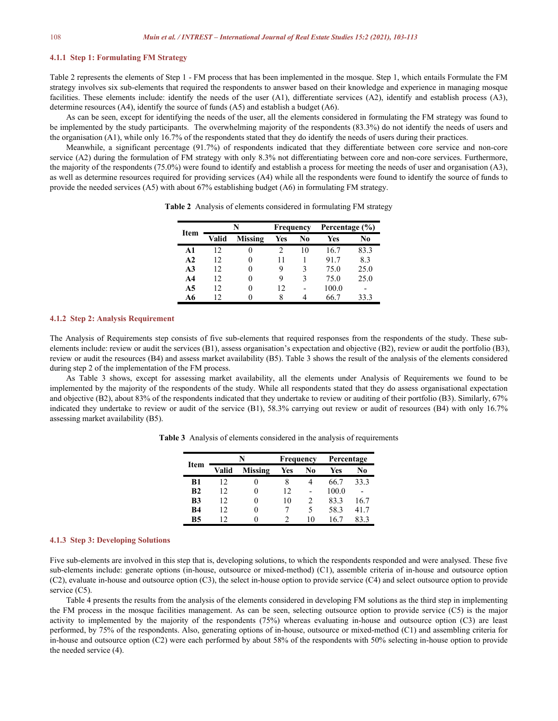## **4.1.1 Step 1: Formulating FM Strategy**

Table 2 represents the elements of Step 1 - FM process that has been implemented in the mosque. Step 1, which entails Formulate the FM strategy involves six sub-elements that required the respondents to answer based on their knowledge and experience in managing mosque facilities. These elements include: identify the needs of the user  $(A1)$ , differentiate services  $(A2)$ , identify and establish process  $(A3)$ , determine resources (A4), identify the source of funds (A5) and establish a budget (A6).

As can be seen, except for identifying the needs of the user, all the elements considered in formulating the FM strategy was found to be implemented by the study participants. The overwhelming majority of the respondents (83.3%) do not identify the needs of users and the organisation (A1), while only 16.7% of the respondents stated that they do identify the needs ofusers during their practices.

Meanwhile, a significant percentage (91.7%) of respondents indicated that they differentiate between core service and non-core service (A2) during the formulation of FM strategy with only 8.3% not differentiating between core and non-core services. Furthermore, the majority of the respondents (75.0%) were found to identify and establish a process for meeting the needs ofuser and organisation (A3), as well as determine resources required for providing services (A4) while all the respondents were found to identify the source of funds to provide the needed services (A5) with about 67% establishing budget (A6) in formulating FM strategy.

| Item           |              |                | Frequency |                          | Percentage $(\% )$ |      |  |
|----------------|--------------|----------------|-----------|--------------------------|--------------------|------|--|
|                | <b>Valid</b> | <b>Missing</b> | Yes       | No                       | Yes                | No   |  |
| A1             | 12           | $\theta$       |           | 10                       | 16.7               | 83.3 |  |
| A2             | 12           | $\theta$       | 11        |                          | 91.7               | 8.3  |  |
| A <sub>3</sub> | 12           | 0              | 9         | 3                        | 75.0               | 25.0 |  |
| A4             | 12           | O              | 9         |                          | 75.0               | 25.0 |  |
| A5             | 12           | 0              | 12        | $\overline{\phantom{0}}$ | 100.0              |      |  |
| A6             |              |                | 8         | 4                        | 66.7               | 33.3 |  |

**Table 2** Analysis of elements considered in formulating FM strategy

#### **4.1.2 Step 2: Analysis Requirement**

The Analysis of Requirements step consists of five sub-elements that required responses from the respondents of the study. These sub-elements include: review or audit the services (B1), assess organisation's expectation an review or audit the resources (B4) and assess market availability (B5). Table 3 shows the result of the analysis of the elements considered during step 2 of the implementation of the FM process.

As Table 3 shows, except for assessing market availability, all the elements under Analysis of Requirements we found to be implemented by the majority of the respondents of the study. While all respondents stated that they do assess organisational expectation and objective (B2), about 83% of the respondents indicated that they undertake to review or auditing of their portfolio (B3). Similarly,  $67\%$ indicated they undertake to review or audit of the service (B1), 58.3% carrying out review oraudit of resources (B4) with only 16.7% assessing market availability (B5).

| Item           | N              |                | Frequency |                          | Percentage |                          |
|----------------|----------------|----------------|-----------|--------------------------|------------|--------------------------|
|                | Valid          | <b>Missing</b> | Yes       | No                       | Yes        | N0                       |
| B1             | $\overline{2}$ | O              | 8         |                          | 66.7       | 33.3                     |
| B <sub>2</sub> | 12             | $_{0}$         | 12        | $\overline{\phantom{a}}$ | 100.0      | $\overline{\phantom{a}}$ |
| B <sub>3</sub> | 12             | 0              | 10        |                          | 83.3       | 16.7                     |
| <b>B4</b>      | 12             | 0              |           |                          | 58.3       | 41.7                     |
| <b>B5</b>      |                | 0              |           | 10                       | 16.7       | 83.3                     |

**Table 3** Analysis of elements considered in the analysis of requirements

## **4.1.3 Step 3: Developing Solutions**

Five sub-elements are involved in this step that is, developing solutions, to which the respondents responded and were analysed. These five sub-elements include: generate options (in-house, outsource or mixed-method) (C1), assemble criteria of in-house and outsource option (C2), evaluate in-house and outsource option (C3), the select in-house option to provide service (C4)and select outsource option to provide service (C5).

Table 4 presents the results from the analysis of the elements considered in developing FM solutions as the third step in implementing the FM process in the mosque facilities management. As can be seen, selecting outsource option to provide service (C5) is the major activity to implemented by the majority of the respondents (75%) whereas evaluating in-house and outsource option (C3) are least performed, by 75% of the respondents. Also, generating options of in-house, outsource or mixed-method (C1) and assembling criteria for in-house and outsource option (C2) were each performed by about 58% of the respondents with 50% selecting in-house option to provide the needed service (4).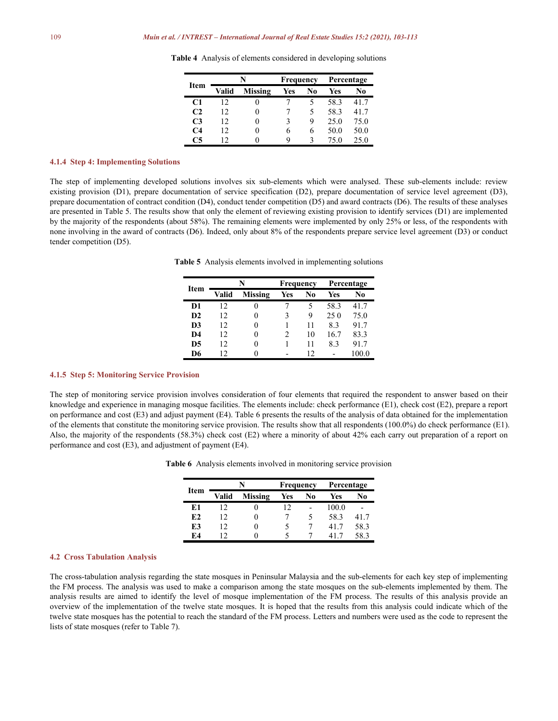|             | N     |                | Frequency |    | Percentage |                |
|-------------|-------|----------------|-----------|----|------------|----------------|
| <b>Item</b> | Valid | <b>Missing</b> | Yes       | No | Yes        | N <sub>0</sub> |
| C1          | 12    | $\theta$       |           |    | 58.3       | 41.7           |
| C2          | 12    | $_{0}$         |           |    | 58.3       | 41.7           |
| C3          | 12    | 0              |           | Q  | 25.0       | 75.0           |
| C4          | 12    | $\theta$       | O         | 6  | 50.0       | 50.0           |
| ่ 5         |       |                | 9         |    | 75.0       | 25.0           |

**Table 4** Analysis of elements considered in developing solutions

#### **4.1.4 Step 4: Implementing Solutions**

The step of implementing developed solutions involves six sub-elements which were analysed. These sub-elements include: review existing provision (D1), prepare documentation of service specification (D2), prepare documentation of service level agreement (D3), prepare documentation of contract condition (D4), conduct tender competition (D5) and award contracts (D6). The results ofthese analyses are presented in Table 5. The results show that only the element of reviewing existing provision to identify services (D1) are implemented by the majority of the respondents (about 58%). The remaining elements were implemented by only 25% or less, of the respondents with none involving in the award of contracts (D6). Indeed, only about 8% of the respondents prepare service level agreement (D3) or conduct tender competition (D5).

**Table 5** Analysis elements involved in implementing solutions

| <b>Item</b>    | N     |                | Frequency |    | Percentage |       |
|----------------|-------|----------------|-----------|----|------------|-------|
|                | Valid | <b>Missing</b> | Yes       | No | Yes        | No    |
| D1             | 12    | 0              |           |    | 58.3       | 41.7  |
| D2             | 12    | 0              | 3         | 9  | 250        | 75.0  |
| D <sub>3</sub> | 12    | 0              |           | 11 | 8.3        | 91.7  |
| D4             | 12    | 0              |           | 10 | 16.7       | 83.3  |
| D <sub>5</sub> | 12    | $\theta$       |           | 11 | 8.3        | 91.7  |
| D6             | ר ו   | $\theta$       | ۰         | 12 | -          | 100.0 |

## **4.1.5 Step 5: Monitoring Service Provision**

The step of monitoring service provision involves consideration of four elements that required the respondent to answer based on their knowledge and experience in managing mosque facilities. The elements include: check performance (E1), check cost (E2), prepare a report on performance and cost  $(E3)$  and adjust payment  $(E4)$ . Table 6 presents the results of the analysis of data obtained for the implementation of the elements that constitute the monitoring service provision. The results show that all respondents (100.0%) do check performance (E1). Also, the majority of the respondents (58.3%) check cost (E2) where a minority of about 42% each carry out preparation of a report on performance and cost (E3), and adjustment of payment (E4).

|  |  |  | <b>Table 6</b> Analysis elements involved in monitoring service provision |  |
|--|--|--|---------------------------------------------------------------------------|--|
|  |  |  |                                                                           |  |
|  |  |  |                                                                           |  |

|             |              |                | Frequency      |                          | Percentage |      |
|-------------|--------------|----------------|----------------|--------------------------|------------|------|
| <b>Item</b> | <b>Valid</b> | <b>Missing</b> | Yes            | No                       | Yes        | No   |
| E1          | ר ו          |                | $\overline{2}$ | $\overline{\phantom{a}}$ | 100.0      |      |
| E2          | 12           |                |                |                          | 58.3       | 41.7 |
| E3          | 12           |                |                | 7                        | 41.7       | 58.3 |
| E4          | ר ו          | 0              |                |                          |            | 58.3 |

## **4.2 Cross Tabulation Analysis**

The cross-tabulation analysis regarding the state mosques in Peninsular Malaysia and the sub-elements for each key step of implementing the FM process. The analysis was used to make a comparison among the state mosques on the sub-elements implemented by them. The analysis results are aimed to identify the level of mosque implementation of the FM process. The results of this analysis provide an overview of the implementation of the twelve state mosques. It is hoped that the results from this analysis could indicate which of the twelve state mosques has the potential to reach the standard of the FM process. Letters and numbers were used as the code to represent the lists of state mosques (refer to Table 7).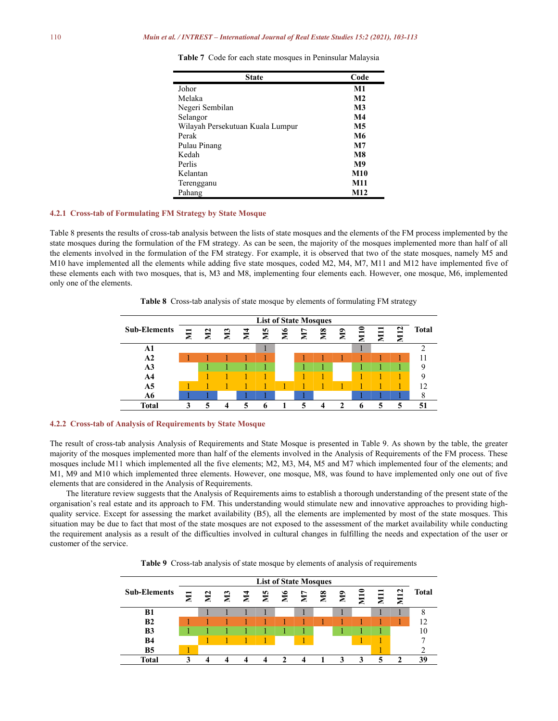## 110 *Muin et al. / INTREST – International Journal of Real Estate Studies 15:2 (2021), 103-113*

| <b>State</b>                     | Code           |
|----------------------------------|----------------|
| Johor                            | M1             |
| Melaka                           | M <sub>2</sub> |
| Negeri Sembilan                  | M <sub>3</sub> |
| Selangor                         | M <sub>4</sub> |
| Wilayah Persekutuan Kuala Lumpur | M5             |
| Perak                            | M6             |
| Pulau Pinang                     | M7             |
| Kedah                            | M8             |
| Perlis                           | M <sub>9</sub> |
| Kelantan                         | <b>M10</b>     |
| Terengganu                       | M11            |
| Pahang                           | M12            |

**Table 7** Code for each state mosques in Peninsular Malaysia

## **4.2.1 Cross-tab of Formulating FM Strategy by State Mosque**

Table 8 presents the results of cross-tab analysis between the lists of state mosques and the elements of the FM process implemented by the state mosques during the formulation of the FM strategy. As can be seen, the majority of the mosques implemented more than half of all the elements involved in the formulation of the FM strategy. For example, it is observed that two of the state mosques, namely M5 and M10 have implemented all the elements while adding five state mosques, coded M2, M4, M7, M11 and M12 have implemented five of these elements each with two mosques, that is, M3 and M8, implementing four elements each. However, one mosque, M6, implemented only one of the elements.

Table 8 Cross-tab analysis of state mosque by elements of formulating FM strategy



## **4.2.2 Cross-tab of Analysis ofRequirements by State Mosque**

The result of cross-tab analysis Analysis of Requirements and State Mosque is presented in Table 9. As shown by the table, the greater majority of the mosques implemented more than half of the elements involved in the Analysis of Requirements of the FM process. These mosques include M11 which implemented all the five elements; M2, M3, M4, M5 and M7 which implemented four of the elements; and M1, M9 and M10 which implemented three elements. However, one mosque, M8, was found to have implemented only one out of five elements that are considered in the Analysis of Requirements.

The literature review suggests that the Analysis of Requirements aims to establish a thorough understanding of the present state of the organisation's real estate and its approach to FM. This understanding would stimulate new and innovative approaches to providing high quality service. Except for assessing the market availability (B5), all the elements are implemented by most of the state mosques. This situation may be due to fact that most of the state mosques are not exposed to the assessment of the market availability while conducting the requirement analysis as a result of the difficulties involved in cultural changes in fulfilling the needs and expectation of the useror customer of the service.

**Table 9** Cross-tab analysis of state mosque by elements of analysis of requirements

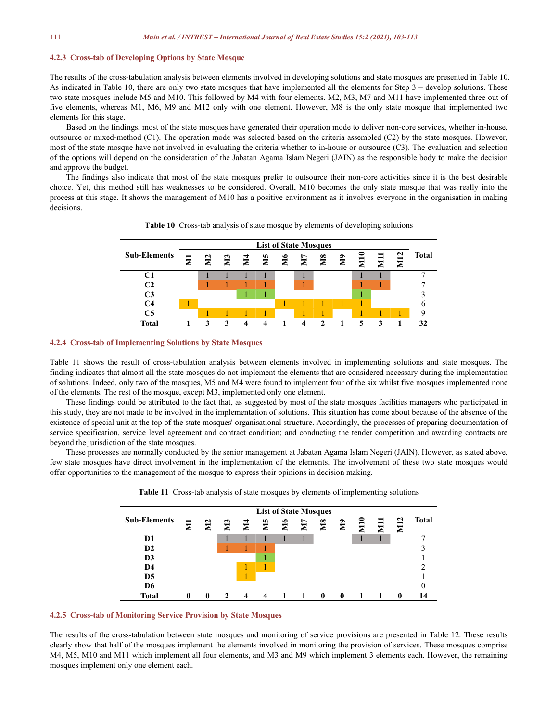## **4.2.3 Cross-tab of Developing Options by State Mosque**

The results ofthe cross-tabulation analysis between elements involved in developing solutions and state mosques are presented in Table 10. As indicated in Table 10, there are only two state mosques that have implemented all the elements for Step 3 – develop solutions. These two state mosques include M5 and M10. This followed by M4 with four elements. M2, M3, M7 and M11 have implemented three out of five elements, whereas M1, M6, M9 and M12 only with one element. However, M8 is the only state mosque that implemented two elements for this stage.

Based on the findings, most of the state mosques have generated their operation mode to deliver non-core services, whether in-house, outsource or mixed-method (C1). The operation mode was selected based on the criteria assembled (C2) by the state mosques. However, most of the state mosque have not involved in evaluating the criteria whether to in-house or outsource (C3). The evaluation and selection of the options will depend on the consideration of the Jabatan Agama Islam Negeri (JAIN) as the responsible body to make the decision and approve the budget.

The findings also indicate that most of the state mosques prefer to outsource their non-core activities since it is the best desirable choice. Yet, this method still has weaknesses to be considered. Overall, M10 becomes the only state mosque that was really into the process at this stage. It shows the management of M10 has a positive environment as it involves everyone in the organisation in making decisions.



Table 10 Cross-tab analysis of state mosque by elements of developing solutions

#### **4.2.4 Cross-tab of Implementing Solutions by State Mosques**

Table 11 shows the result of cross-tabulation analysis between elements involved in implementing solutions and state mosques. The finding indicates that almost all the state mosques do not implement the elements that are considered necessary during the implementation of solutions. Indeed, only two of the mosques, M5 and M4 were found to implement four of the six whilst five mosques implemented none of the elements. The rest of the mosque, except M3, implemented only one element.<br>These findings could be attributed to the fact that, as suggested by most of the state mosques facilities managers who participated in

this study,they are not made to be involved in the implementation of solutions. This situation has come about because of the absence of the existence of special unit at the top of the state mosques' organisational structure. Accordingly, the processes of preparing documentation of service specification, service level agreement and contract condition; and conducting the tender competition and awarding contracts are beyond the jurisdiction of the state mosques.

These processes are normally conducted by the senior management at Jabatan Agama Islam Negeri (JAIN). However, as stated above, few state mosques have direct involvement in the implementation of the elements. The involvement of these two state mosques would offer opportunities to the management of the mosque to express their opinions in decision making.



**Table 11** Cross-tab analysis of state mosques by elements of implementing solutions

## **4.2.5 Cross-tab of Monitoring Service Provision by State Mosques**

The results of the cross-tabulation between state mosques and monitoring of service provisions are presented in Table 12. These results clearly show thathalf of the mosques implement the elements involved in monitoring the provision of services. These mosques comprise M4, M5, M10 and M11 which implement all four elements, and M3 and M9 which implement 3 elements each. However, the remaining mosques implement only one element each.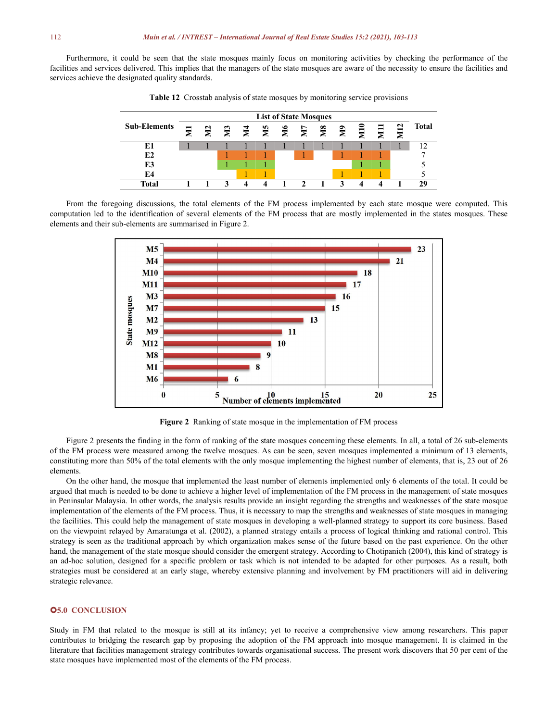Furthermore, it could be seen that the state mosques mainly focus on monitoring activities by checking the performance of the facilities and services delivered. This implies that the managers of the state mosques are aware of the necessity to ensure the facilities and services achieve the designated quality standards.



**Table 12** Crosstab analysis of state mosques by monitoring service provisions

From the foregoing discussions, the total elements of the FM process implemented by each state mosque were computed. This computation led to the identification of several elements of the FM process that are mostly implemented in the states mosques. These elements and their sub-elements are summarised in Figure 2.



**Figure 2** Ranking of state mosque in the implementation of FM process

Figure 2 presents the finding in the form of ranking of the state mosques concerning these elements. In all, a total of 26 sub-elements of the FM process were measured among the twelve mosques. As can be seen, seven mosques implemented a minimum of 13 elements, constituting more than 50% of the total elements with the only mosque implementing the highest number of elements, that is, 23 out of 26 elements.

On the other hand, the mosque that implemented the least number of elements implemented only 6 elements ofthe total. It could be argued that much is needed to be done to achieve a higher level of implementation of the FM process in the management of state mosques in Peninsular Malaysia. In other words, the analysis results provide an insight regarding the strengths and weaknesses of the state mosque implementation of the elements ofthe FM process. Thus, it is necessary to map the strengths and weaknesses of state mosques in managing the facilities. This could help the management of state mosques in developing a well-planned strategy to support its core business. Based on the viewpoint relayed by Amaratunga et al. (2002), a planned strategy entails a process of logical thinking and rational control. This strategy is seen as the traditional approach by which organization makes sense of the future based on the past experience. On the other hand, the management of the state mosque should consider the emergent strategy. According to Chotipanich (2004), this kind of strategy is an ad-hoc solution, designed for a specific problem or task which is not intended to be adapted for other purposes. As a result, both strategies must be considered at an early stage, whereby extensive planning and involvement by FM practitioners will aid in delivering strategic relevance.

## **5.0 CONCLUSION**

Study in FM that related to the mosque is still at its infancy; yet to receive a comprehensive view among researchers. This paper contributes to bridging the research gap by proposing the adoption of the FM approach into mosque management. It is claimed in the literature that facilities management strategy contributes towards organisational success. The presentwork discovers that 50 per cent of the state mosques have implemented most of the elements of the FM process.